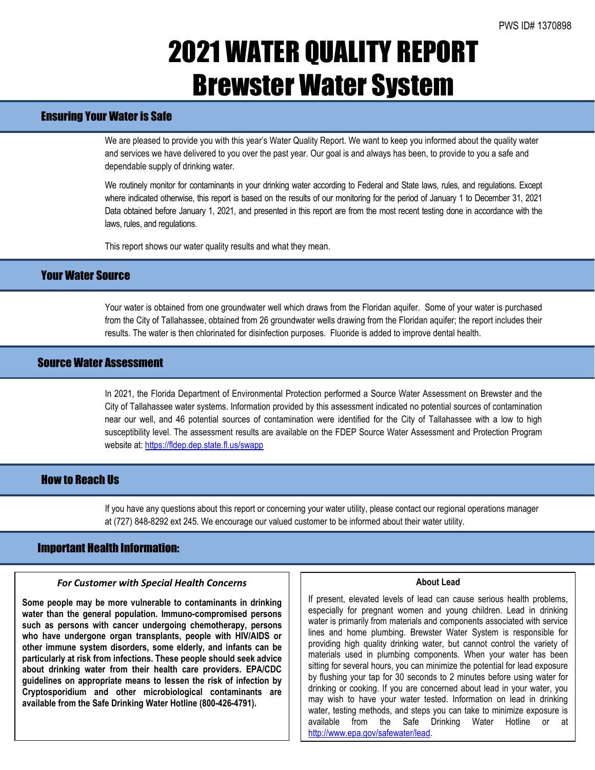# 2021 WATER QUALITY REPORT Brewster Water System

## Ensuring Your Water is Safe

We are pleased to provide you with this year's Water Quality Report. We want to keep you informed about the quality water and services we have delivered to you over the past year. Our goal is and always has been, to provide to you a safe and dependable supply of drinking water.

We routinely monitor for contaminants in your drinking water according to Federal and State laws, rules, and regulations. Except where indicated otherwise, this report is based on the results of our monitoring for the period of January 1 to December 31, 2021 Data obtained before January 1, 2021, and presented in this report are from the most recent testing done in accordance with the laws, rules, and regulations.

This report shows our water quality results and what they mean.

## Your Water Source

Your water is obtained from one groundwater well which draws from the Floridan aquifer. Some of your water is purchased from the City of Tallahassee, obtained from 26 groundwater wells drawing from the Floridan aquifer; the report includes their results. The water is then chlorinated for disinfection purposes. Fluoride is added to improve dental health.

## Source Water Assessment

In 2021, the Florida Department of Environmental Protection performed a Source Water Assessment on Brewster and the City of Tallahassee water systems. Information provided by this assessment indicated no potential sources of contamination near our well, and 46 potential sources of contamination were identified for the City of Tallahassee with a low to high susceptibility level. The assessment results are available on the FDEP Source Water Assessment and Protection Program website at: <https://fldep.dep.state.fl.us/swapp>

## How to Reach Us

If you have any questions about this report or concerning your water utility, please contact our regional operations manager at (727) 848-8292 ext 245. We encourage our valued customer to be informed about their water utility.

## Important Health Information:

### *For Customer with Special Health Concerns*

**Some people may be more vulnerable to contaminants in drinking water than the general population. Immuno-compromised persons such as persons with cancer undergoing chemotherapy, persons who have undergone organ transplants, people with HIV/AIDS or other immune system disorders, some elderly, and infants can be particularly at risk from infections. These people should seek advice about drinking water from their health care providers. EPA/CDC guidelines on appropriate means to lessen the risk of infection by Cryptosporidium and other microbiological contaminants are available from the Safe Drinking Water Hotline (800-426-4791).**

#### **About Lead**

If present, elevated levels of lead can cause serious health problems, especially for pregnant women and young children. Lead in drinking water is primarily from materials and components associated with service lines and home plumbing. Brewster Water System is responsible for providing high quality drinking water, but cannot control the variety of materials used in plumbing components. When your water has been sitting for several hours, you can minimize the potential for lead exposure by flushing your tap for 30 seconds to 2 minutes before using water for drinking or cooking. If you are concerned about lead in your water, you may wish to have your water tested. Information on lead in drinking water, testing methods, and steps you can take to minimize exposure is available from the Safe Drinking Water Hotline or at [http://www.epa.gov/safewater/lead.](http://www.epa.gov/safewater/lead)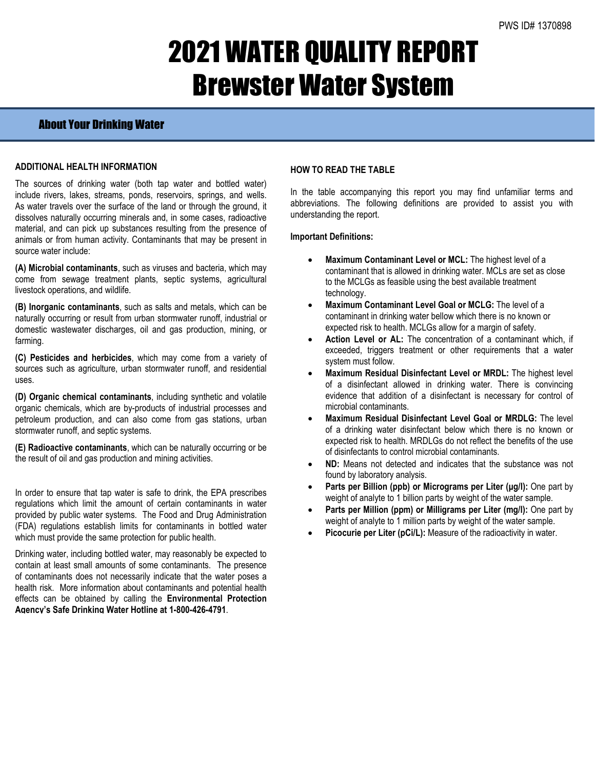# 2021 WATER QUALITY REPORT Brewster Water System

## About Your Drinking Water

### **ADDITIONAL HEALTH INFORMATION**

The sources of drinking water (both tap water and bottled water) include rivers, lakes, streams, ponds, reservoirs, springs, and wells. As water travels over the surface of the land or through the ground, it dissolves naturally occurring minerals and, in some cases, radioactive material, and can pick up substances resulting from the presence of animals or from human activity. Contaminants that may be present in source water include:

**(A) Microbial contaminants**, such as viruses and bacteria, which may come from sewage treatment plants, septic systems, agricultural livestock operations, and wildlife.

**(B) Inorganic contaminants**, such as salts and metals, which can be naturally occurring or result from urban stormwater runoff, industrial or domestic wastewater discharges, oil and gas production, mining, or farming.

**(C) Pesticides and herbicides**, which may come from a variety of sources such as agriculture, urban stormwater runoff, and residential uses.

**(D) Organic chemical contaminants**, including synthetic and volatile organic chemicals, which are by-products of industrial processes and petroleum production, and can also come from gas stations, urban stormwater runoff, and septic systems.

**(E) Radioactive contaminants**, which can be naturally occurring or be the result of oil and gas production and mining activities.

In order to ensure that tap water is safe to drink, the EPA prescribes regulations which limit the amount of certain contaminants in water provided by public water systems. The Food and Drug Administration (FDA) regulations establish limits for contaminants in bottled water which must provide the same protection for public health.

Drinking water, including bottled water, may reasonably be expected to contain at least small amounts of some contaminants. The presence of contaminants does not necessarily indicate that the water poses a health risk. More information about contaminants and potential health effects can be obtained by calling the **Environmental Protection Agency's Safe Drinking Water Hotline at 1-800-426-4791**.

### **HOW TO READ THE TABLE**

In the table accompanying this report you may find unfamiliar terms and abbreviations. The following definitions are provided to assist you with understanding the report.

#### **Important Definitions:**

- **Maximum Contaminant Level or MCL:** The highest level of a contaminant that is allowed in drinking water. MCLs are set as close to the MCLGs as feasible using the best available treatment technology.
- **Maximum Contaminant Level Goal or MCLG:** The level of a contaminant in drinking water bellow which there is no known or expected risk to health. MCLGs allow for a margin of safety.
- Action Level or AL: The concentration of a contaminant which, if exceeded, triggers treatment or other requirements that a water system must follow.
- **Maximum Residual Disinfectant Level or MRDL:** The highest level of a disinfectant allowed in drinking water. There is convincing evidence that addition of a disinfectant is necessary for control of microbial contaminants.
- **Maximum Residual Disinfectant Level Goal or MRDLG:** The level of a drinking water disinfectant below which there is no known or expected risk to health. MRDLGs do not reflect the benefits of the use of disinfectants to control microbial contaminants.
- **ND:** Means not detected and indicates that the substance was not found by laboratory analysis.
- **Parts per Billion (ppb) or Micrograms per Liter (μg/l):** One part by weight of analyte to 1 billion parts by weight of the water sample.
- **Parts per Million (ppm) or Milligrams per Liter (mg/l):** One part by weight of analyte to 1 million parts by weight of the water sample.
- **Picocurie per Liter (pCi/L):** Measure of the radioactivity in water.